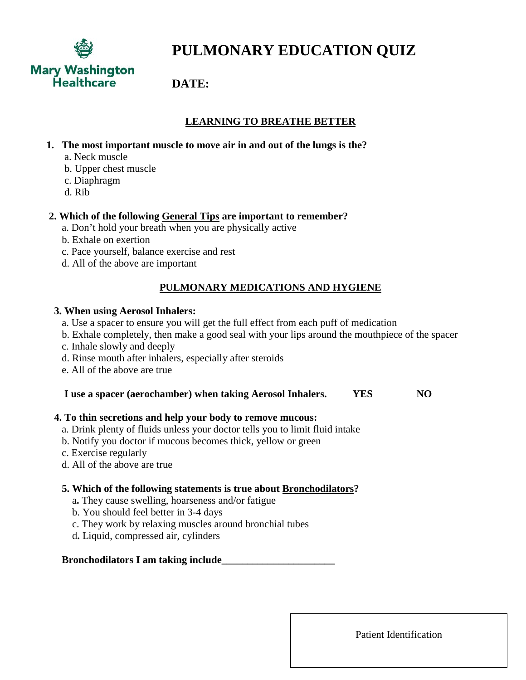

# **PULMONARY EDUCATION QUIZ**

## **DATE:**

## **LEARNING TO BREATHE BETTER**

- **1. The most important muscle to move air in and out of the lungs is the?** 
	- a. Neck muscle
	- b. Upper chest muscle
	- c. Diaphragm
	- d. Rib

#### **2. Which of the following General Tips are important to remember?**

- a. Don't hold your breath when you are physically active
- b. Exhale on exertion
- c. Pace yourself, balance exercise and rest
- d. All of the above are important

## **PULMONARY MEDICATIONS AND HYGIENE**

#### **3. When using Aerosol Inhalers:**

- a. Use a spacer to ensure you will get the full effect from each puff of medication
- b. Exhale completely, then make a good seal with your lips around the mouthpiece of the spacer
- c. Inhale slowly and deeply
- d. Rinse mouth after inhalers, especially after steroids
- e. All of the above are true

#### **I use a spacer (aerochamber) when taking Aerosol Inhalers. YES NO**

#### **4. To thin secretions and help your body to remove mucous:**

- a. Drink plenty of fluids unless your doctor tells you to limit fluid intake
- b. Notify you doctor if mucous becomes thick, yellow or green
- c. Exercise regularly
- d. All of the above are true

#### **5. Which of the following statements is true about Bronchodilators?**

- a**.** They cause swelling, hoarseness and/or fatigue
- b. You should feel better in 3-4 days
- c. They work by relaxing muscles around bronchial tubes
- d**.** Liquid, compressed air, cylinders

#### **Bronchodilators I am taking include\_\_\_\_\_\_\_\_\_\_\_\_\_\_\_\_\_\_\_\_\_\_**

Patient Identification